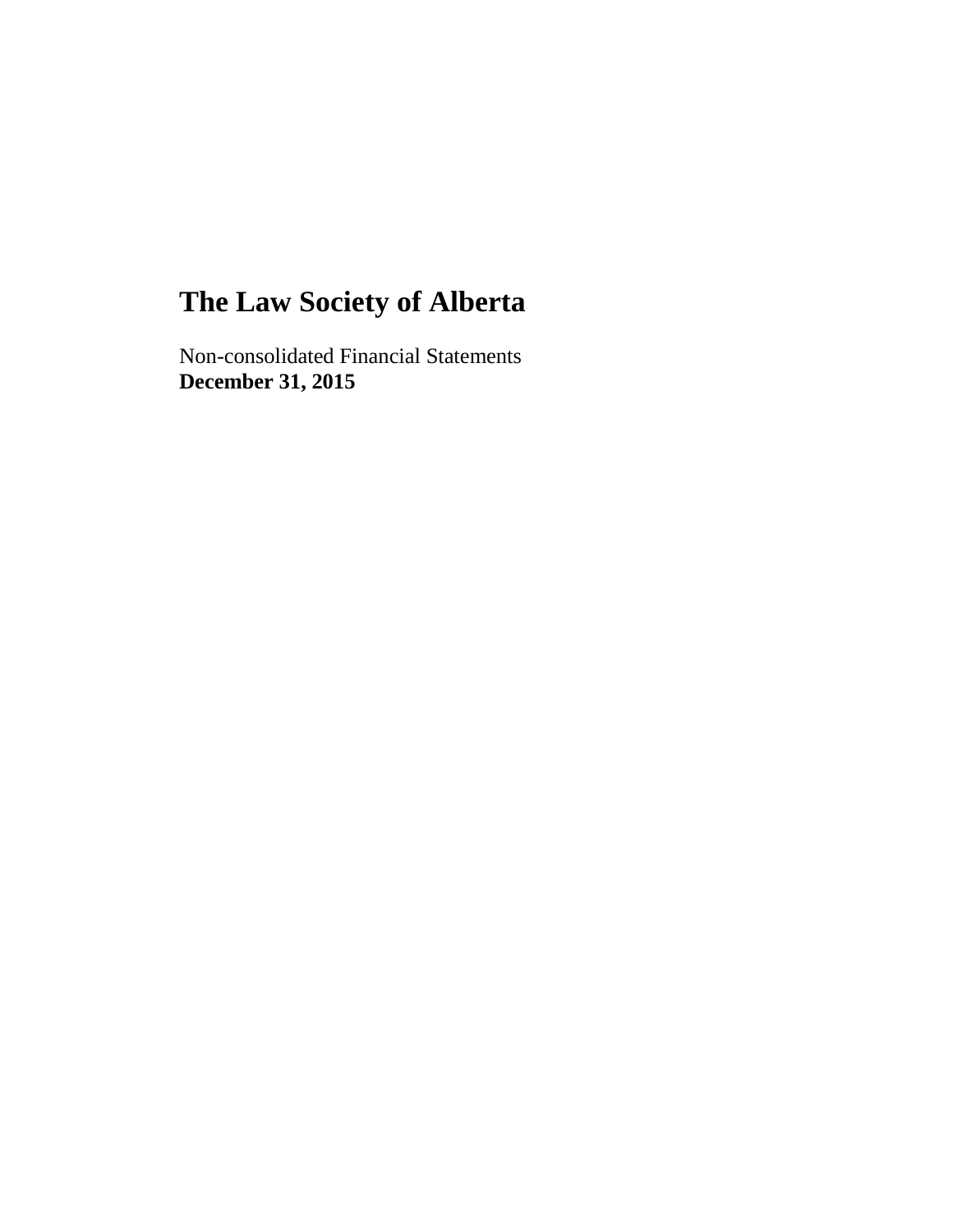Non-consolidated Financial Statements **December 31, 2015**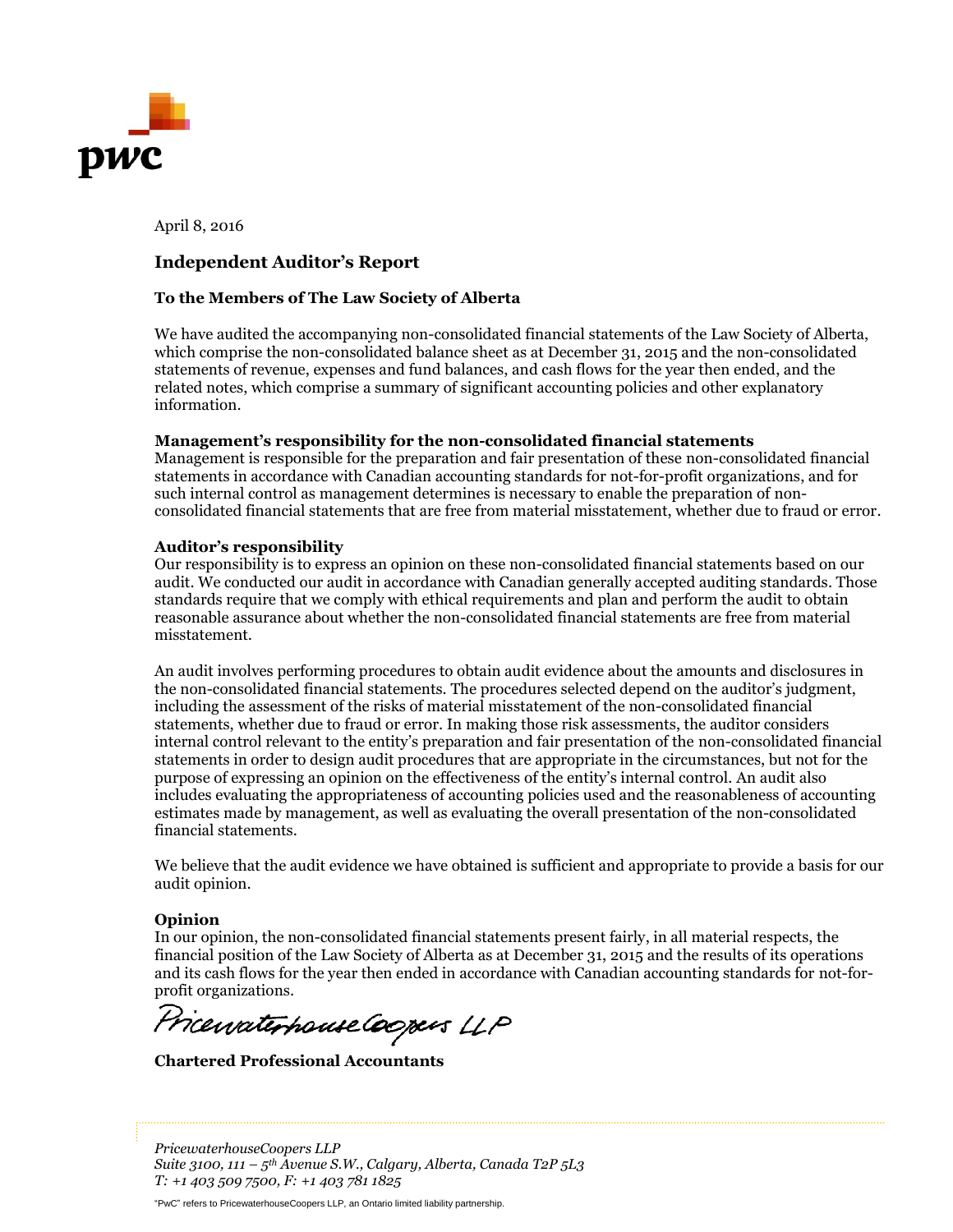

April 8, 2016

#### **Independent Auditor's Report**

#### **To the Members of The Law Society of Alberta**

We have audited the accompanying non-consolidated financial statements of the Law Society of Alberta, which comprise the non-consolidated balance sheet as at December 31, 2015 and the non-consolidated statements of revenue, expenses and fund balances, and cash flows for the year then ended, and the related notes, which comprise a summary of significant accounting policies and other explanatory information.

#### **Management's responsibility for the non-consolidated financial statements**

Management is responsible for the preparation and fair presentation of these non-consolidated financial statements in accordance with Canadian accounting standards for not-for-profit organizations, and for such internal control as management determines is necessary to enable the preparation of nonconsolidated financial statements that are free from material misstatement, whether due to fraud or error.

#### **Auditor's responsibility**

Our responsibility is to express an opinion on these non-consolidated financial statements based on our audit. We conducted our audit in accordance with Canadian generally accepted auditing standards. Those standards require that we comply with ethical requirements and plan and perform the audit to obtain reasonable assurance about whether the non-consolidated financial statements are free from material misstatement.

An audit involves performing procedures to obtain audit evidence about the amounts and disclosures in the non-consolidated financial statements. The procedures selected depend on the auditor's judgment, including the assessment of the risks of material misstatement of the non-consolidated financial statements, whether due to fraud or error. In making those risk assessments, the auditor considers internal control relevant to the entity's preparation and fair presentation of the non-consolidated financial statements in order to design audit procedures that are appropriate in the circumstances, but not for the purpose of expressing an opinion on the effectiveness of the entity's internal control. An audit also includes evaluating the appropriateness of accounting policies used and the reasonableness of accounting estimates made by management, as well as evaluating the overall presentation of the non-consolidated financial statements.

We believe that the audit evidence we have obtained is sufficient and appropriate to provide a basis for our audit opinion.

#### **Opinion**

In our opinion, the non-consolidated financial statements present fairly, in all material respects, the financial position of the Law Society of Alberta as at December 31, 2015 and the results of its operations and its cash flows for the year then ended in accordance with Canadian accounting standards for not-forprofit organizations.

PricewaterhouseCoopers LLP

**Chartered Professional Accountants**

*PricewaterhouseCoopers LLP Suite 3100, 111 – 5 th Avenue S.W., Calgary, Alberta, Canada T2P 5L3 T: +1 403 509 7500, F: +1 403 781 1825*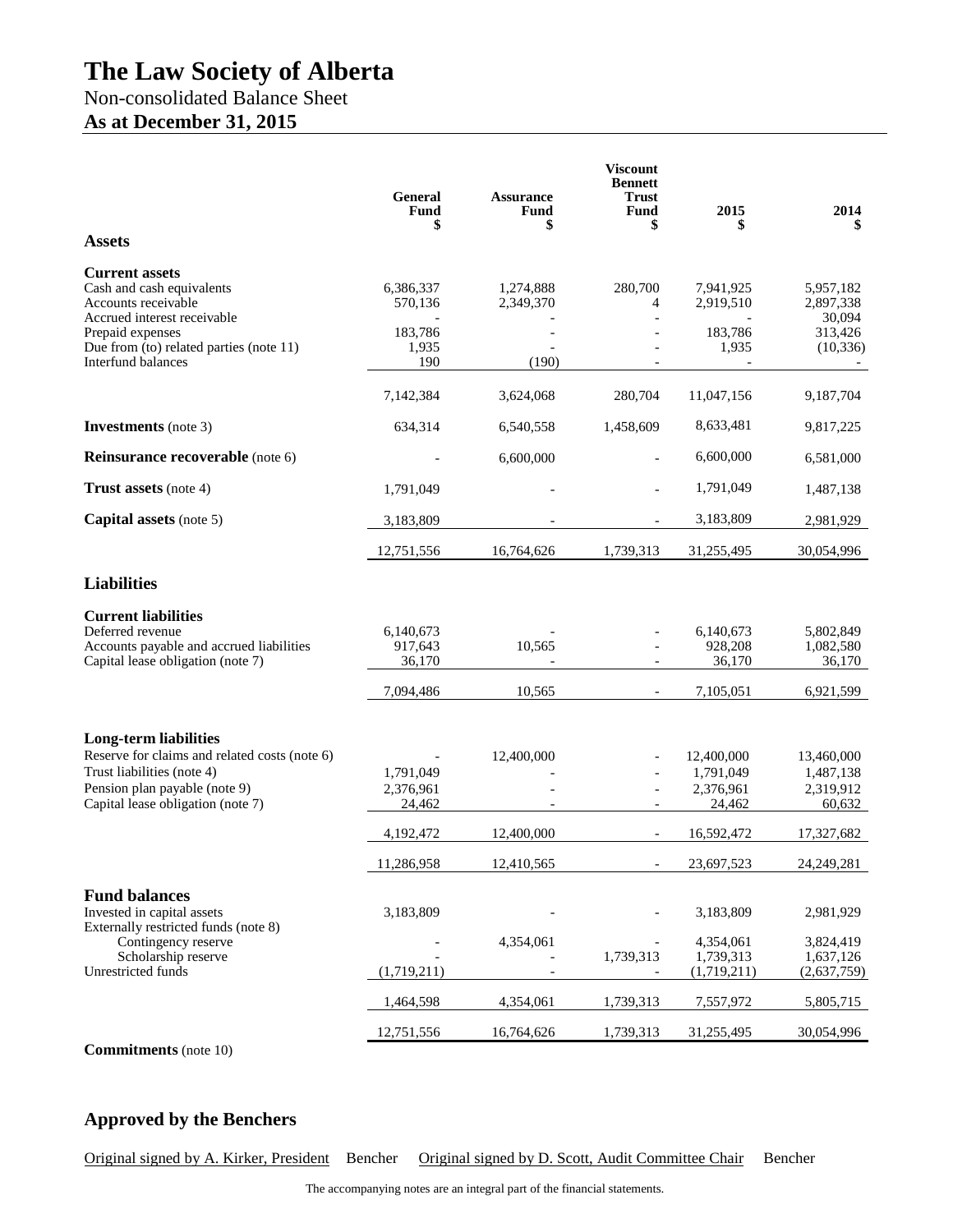## Non-consolidated Balance Sheet

## **As at December 31, 2015**

| <b>Assets</b>                                                                                                                                                                     | <b>General</b><br>Fund<br>\$     | <b>Assurance</b><br>Fund<br>\$ | <b>Viscount</b><br><b>Bennett</b><br><b>Trust</b><br>Fund<br>\$ | 2015<br>\$                                     | 2014<br>\$                                     |
|-----------------------------------------------------------------------------------------------------------------------------------------------------------------------------------|----------------------------------|--------------------------------|-----------------------------------------------------------------|------------------------------------------------|------------------------------------------------|
| <b>Current assets</b>                                                                                                                                                             |                                  |                                |                                                                 |                                                |                                                |
| Cash and cash equivalents<br>Accounts receivable                                                                                                                                  | 6,386,337<br>570,136             | 1,274,888<br>2,349,370         | 280,700<br>4                                                    | 7,941,925<br>2,919,510                         | 5,957,182<br>2,897,338                         |
| Accrued interest receivable<br>Prepaid expenses<br>Due from (to) related parties (note 11)<br>Interfund balances                                                                  | 183,786<br>1,935<br>190          | (190)                          |                                                                 | 183,786<br>1,935                               | 30,094<br>313,426<br>(10, 336)                 |
|                                                                                                                                                                                   | 7,142,384                        | 3,624,068                      | 280,704                                                         | 11,047,156                                     | 9,187,704                                      |
| <b>Investments</b> (note 3)                                                                                                                                                       | 634,314                          | 6,540,558                      | 1,458,609                                                       | 8,633,481                                      | 9,817,225                                      |
| <b>Reinsurance recoverable</b> (note 6)                                                                                                                                           |                                  | 6,600,000                      |                                                                 | 6,600,000                                      | 6,581,000                                      |
| <b>Trust assets</b> (note 4)                                                                                                                                                      | 1,791,049                        |                                |                                                                 | 1,791,049                                      | 1,487,138                                      |
| Capital assets (note 5)                                                                                                                                                           | 3,183,809                        |                                |                                                                 | 3,183,809                                      | 2,981,929                                      |
|                                                                                                                                                                                   | 12,751,556                       | 16,764,626                     | 1,739,313                                                       | 31,255,495                                     | 30,054,996                                     |
| <b>Liabilities</b>                                                                                                                                                                |                                  |                                |                                                                 |                                                |                                                |
| <b>Current liabilities</b><br>Deferred revenue<br>Accounts payable and accrued liabilities<br>Capital lease obligation (note 7)                                                   | 6,140,673<br>917,643<br>36,170   | 10,565                         |                                                                 | 6,140,673<br>928,208<br>36,170                 | 5,802,849<br>1,082,580<br>36,170               |
|                                                                                                                                                                                   | 7,094,486                        | 10,565                         | $\blacksquare$                                                  | 7,105,051                                      | 6,921,599                                      |
| <b>Long-term liabilities</b><br>Reserve for claims and related costs (note 6)<br>Trust liabilities (note 4)<br>Pension plan payable (note 9)<br>Capital lease obligation (note 7) | 1,791,049<br>2,376,961<br>24,462 | 12,400,000                     |                                                                 | 12,400,000<br>1,791,049<br>2,376,961<br>24,462 | 13,460,000<br>1,487,138<br>2,319,912<br>60,632 |
|                                                                                                                                                                                   | 4,192,472                        | 12,400,000                     |                                                                 | 16,592,472                                     | 17,327,682                                     |
|                                                                                                                                                                                   | 11,286,958                       | 12,410,565                     |                                                                 | 23,697,523                                     | 24,249,281                                     |
| <b>Fund balances</b><br>Invested in capital assets<br>Externally restricted funds (note 8)                                                                                        | 3,183,809                        |                                |                                                                 | 3,183,809                                      | 2,981,929                                      |
| Contingency reserve<br>Scholarship reserve<br>Unrestricted funds                                                                                                                  | (1,719,211)                      | 4,354,061                      | 1,739,313                                                       | 4,354,061<br>1,739,313<br>(1,719,211)          | 3,824,419<br>1,637,126<br>(2,637,759)          |
|                                                                                                                                                                                   | 1,464,598                        | 4,354,061                      | 1,739,313                                                       | 7,557,972                                      | 5,805,715                                      |
|                                                                                                                                                                                   | 12,751,556                       | 16,764,626                     | 1,739,313                                                       | 31,255,495                                     | 30,054,996                                     |

**Commitments** (note 10)

## **Approved by the Benchers**

Original signed by A. Kirker, President Bencher Original signed by D. Scott, Audit Committee Chair Bencher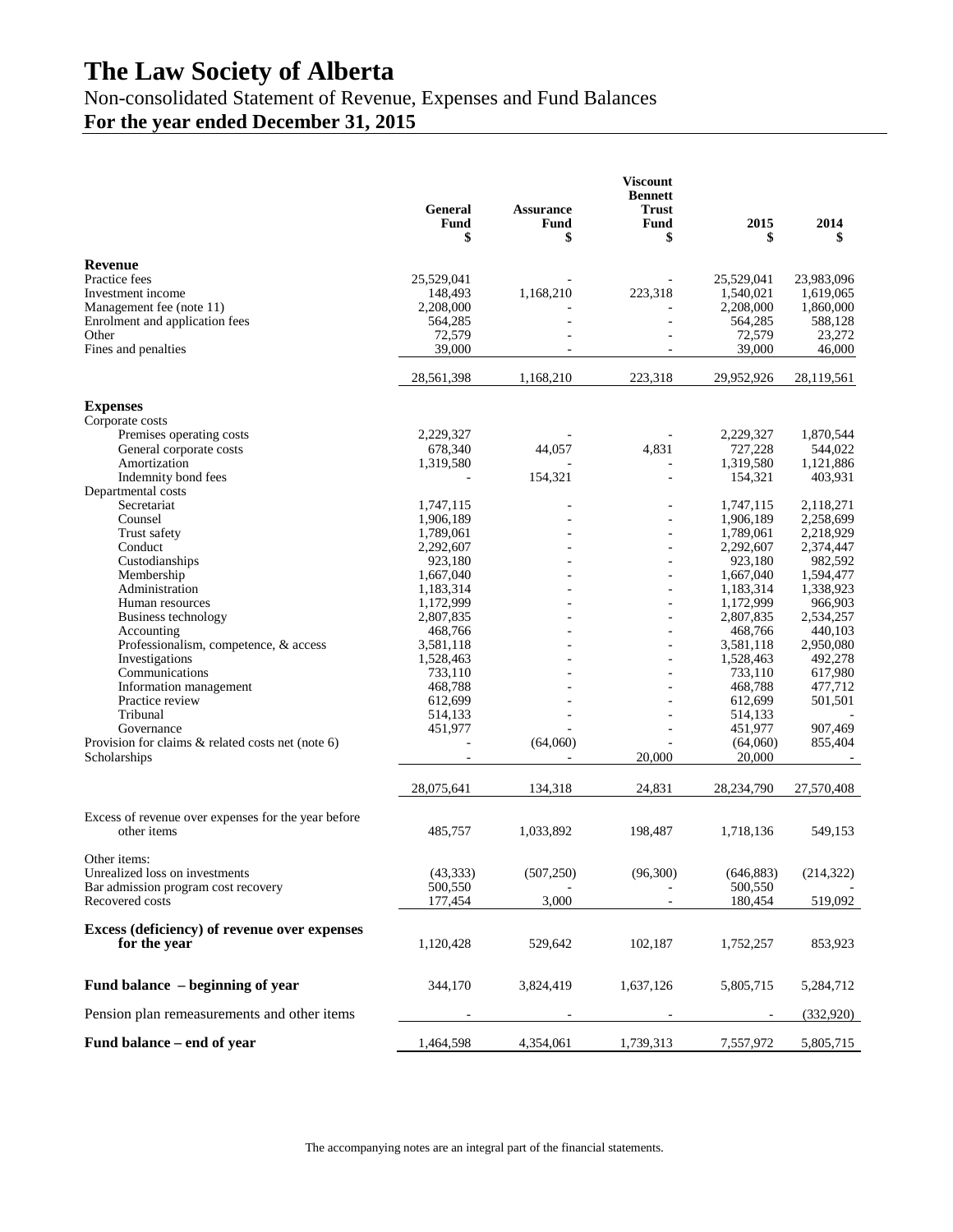Non-consolidated Statement of Revenue, Expenses and Fund Balances

## **For the year ended December 31, 2015**

|                                                     |                       |                   | <b>Viscount</b><br><b>Bennett</b> |                         |            |
|-----------------------------------------------------|-----------------------|-------------------|-----------------------------------|-------------------------|------------|
|                                                     | <b>General</b>        | <b>Assurance</b>  | <b>Trust</b>                      |                         |            |
|                                                     | <b>Fund</b><br>\$     | <b>Fund</b><br>\$ | <b>Fund</b><br>\$                 | 2015<br>\$              | 2014<br>\$ |
|                                                     |                       |                   |                                   |                         |            |
| <b>Revenue</b>                                      |                       |                   |                                   |                         | 23,983,096 |
| Practice fees<br>Investment income                  | 25,529,041<br>148,493 | 1,168,210         | 223,318                           | 25,529,041<br>1,540,021 | 1,619,065  |
| Management fee (note 11)                            | 2,208,000             |                   |                                   | 2,208,000               | 1,860,000  |
| Enrolment and application fees                      | 564,285               |                   |                                   | 564,285                 | 588,128    |
| Other                                               | 72,579                |                   |                                   | 72,579                  | 23,272     |
| Fines and penalties                                 | 39,000                |                   |                                   | 39,000                  | 46,000     |
|                                                     | 28,561,398            | 1,168,210         | 223,318                           | 29,952,926              | 28,119,561 |
| <b>Expenses</b>                                     |                       |                   |                                   |                         |            |
| Corporate costs                                     |                       |                   |                                   |                         |            |
| Premises operating costs                            | 2,229,327             |                   |                                   | 2,229,327               | 1,870,544  |
| General corporate costs                             | 678,340               | 44,057            | 4,831                             | 727,228                 | 544,022    |
| Amortization                                        | 1,319,580             |                   |                                   | 1,319,580               | 1,121,886  |
| Indemnity bond fees                                 |                       | 154,321           |                                   | 154,321                 | 403,931    |
| Departmental costs                                  |                       |                   |                                   |                         |            |
| Secretariat                                         | 1,747,115             |                   |                                   | 1,747,115               | 2,118,271  |
| Counsel                                             | 1,906,189             |                   |                                   | 1,906,189               | 2,258,699  |
| Trust safety                                        | 1,789,061             |                   |                                   | 1,789,061               | 2,218,929  |
| Conduct                                             | 2,292,607             |                   |                                   | 2,292,607               | 2,374,447  |
| Custodianships                                      | 923,180               |                   |                                   | 923,180                 | 982,592    |
| Membership                                          | 1,667,040             |                   |                                   | 1,667,040               | 1,594,477  |
| Administration                                      | 1,183,314             |                   |                                   | 1,183,314               | 1,338,923  |
| Human resources                                     | 1,172,999             |                   |                                   | 1,172,999               | 966,903    |
| Business technology                                 | 2,807,835             |                   | $\overline{a}$                    | 2,807,835               | 2,534,257  |
| Accounting                                          | 468,766               |                   |                                   | 468,766                 | 440,103    |
| Professionalism, competence, & access               | 3,581,118             |                   |                                   | 3,581,118               | 2,950,080  |
| Investigations                                      | 1,528,463             |                   |                                   | 1,528,463               | 492,278    |
| Communications                                      | 733,110               |                   |                                   | 733,110                 | 617,980    |
| Information management                              | 468,788               |                   |                                   | 468,788                 | 477,712    |
| Practice review                                     | 612,699               |                   |                                   | 612,699                 | 501,501    |
| Tribunal                                            | 514,133               |                   |                                   | 514,133                 |            |
| Governance                                          | 451,977               |                   |                                   | 451,977                 | 907,469    |
| Provision for claims & related costs net (note 6)   |                       | (64,060)          |                                   | (64,060)                | 855,404    |
| Scholarships                                        |                       |                   | 20,000                            | 20,000                  |            |
|                                                     | 28,075,641            | 134,318           | 24,831                            | 28,234,790              | 27,570,408 |
| Excess of revenue over expenses for the year before |                       |                   |                                   |                         |            |
| other items                                         | 485,757               | 1,033,892         | 198,487                           | 1,718,136               | 549,153    |
|                                                     |                       |                   |                                   |                         |            |
| Other items:                                        |                       |                   |                                   |                         |            |
| Unrealized loss on investments                      | (43, 333)             | (507, 250)        | (96,300)                          | (646, 883)              | (214, 322) |
| Bar admission program cost recovery                 | 500,550               |                   |                                   | 500,550                 |            |
| Recovered costs                                     | 177,454               | 3,000             |                                   | 180,454                 | 519,092    |
|                                                     |                       |                   |                                   |                         |            |
| <b>Excess (deficiency) of revenue over expenses</b> |                       |                   |                                   |                         |            |
| for the year                                        | 1,120,428             | 529,642           | 102,187                           | 1,752,257               | 853,923    |
| Fund balance – beginning of year                    | 344,170               | 3,824,419         | 1,637,126                         | 5,805,715               | 5,284,712  |
|                                                     |                       |                   |                                   |                         |            |
| Pension plan remeasurements and other items         |                       |                   |                                   |                         | (332,920)  |
| Fund balance – end of year                          | 1,464,598             | 4,354,061         | 1,739,313                         | 7,557,972               | 5,805,715  |

The accompanying notes are an integral part of the financial statements.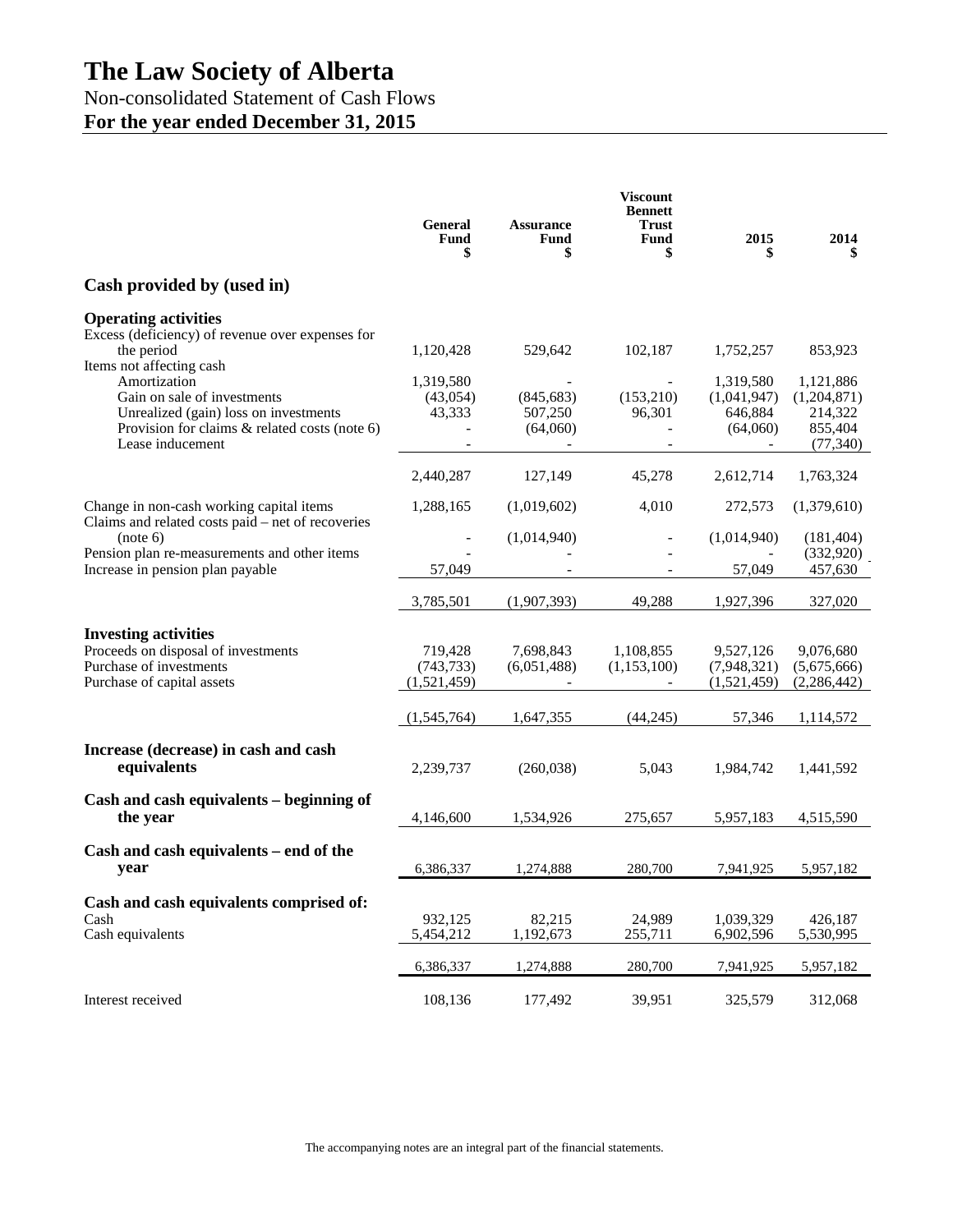Non-consolidated Statement of Cash Flows **For the year ended December 31, 2015**

|                                                                                                                                                                                                                                                                                           | <b>General</b><br>Fund<br>\$                 | <b>Assurance</b><br>Fund<br>\$               | <b>Viscount</b><br><b>Bennett</b><br>Trust<br>Fund<br>\$ | 2015<br>\$                                                   | 2014<br>S                                                              |
|-------------------------------------------------------------------------------------------------------------------------------------------------------------------------------------------------------------------------------------------------------------------------------------------|----------------------------------------------|----------------------------------------------|----------------------------------------------------------|--------------------------------------------------------------|------------------------------------------------------------------------|
| Cash provided by (used in)                                                                                                                                                                                                                                                                |                                              |                                              |                                                          |                                                              |                                                                        |
| <b>Operating activities</b><br>Excess (deficiency) of revenue over expenses for<br>the period<br>Items not affecting cash<br>Amortization<br>Gain on sale of investments<br>Unrealized (gain) loss on investments<br>Provision for claims $\&$ related costs (note 6)<br>Lease inducement | 1,120,428<br>1,319,580<br>(43,054)<br>43,333 | 529,642<br>(845, 683)<br>507,250<br>(64,060) | 102,187<br>(153,210)<br>96,301                           | 1,752,257<br>1,319,580<br>(1,041,947)<br>646.884<br>(64,060) | 853,923<br>1,121,886<br>(1,204,871)<br>214,322<br>855,404<br>(77, 340) |
|                                                                                                                                                                                                                                                                                           | 2,440,287                                    | 127,149                                      | 45,278                                                   | 2,612,714                                                    | 1,763,324                                                              |
| Change in non-cash working capital items                                                                                                                                                                                                                                                  | 1,288,165                                    | (1,019,602)                                  | 4,010                                                    | 272,573                                                      | (1,379,610)                                                            |
| Claims and related costs paid – net of recoveries<br>(note 6)<br>Pension plan re-measurements and other items<br>Increase in pension plan payable                                                                                                                                         | 57,049                                       | (1,014,940)                                  |                                                          | (1,014,940)<br>57,049                                        | (181, 404)<br>(332,920)<br>457,630                                     |
|                                                                                                                                                                                                                                                                                           | 3,785,501                                    | (1,907,393)                                  | 49,288                                                   | 1,927,396                                                    | 327,020                                                                |
| <b>Investing activities</b><br>Proceeds on disposal of investments<br>Purchase of investments<br>Purchase of capital assets                                                                                                                                                               | 719,428<br>(743, 733)<br>(1,521,459)         | 7,698,843<br>(6,051,488)                     | 1,108,855<br>(1,153,100)                                 | 9,527,126<br>(7,948,321)<br>(1,521,459)                      | 9,076,680<br>(5,675,666)<br>(2, 286, 442)                              |
|                                                                                                                                                                                                                                                                                           | (1,545,764)                                  | 1,647,355                                    | (44, 245)                                                | 57,346                                                       | 1,114,572                                                              |
| Increase (decrease) in cash and cash<br>equivalents                                                                                                                                                                                                                                       | 2,239,737                                    | (260,038)                                    | 5,043                                                    | 1,984,742                                                    | 1,441,592                                                              |
| Cash and cash equivalents – beginning of<br>the year                                                                                                                                                                                                                                      | 4,146,600                                    | 1,534,926                                    | 275,657                                                  | 5,957,183                                                    | 4,515,590                                                              |
| Cash and cash equivalents – end of the<br>year                                                                                                                                                                                                                                            | 6,386,337                                    | 1,274,888                                    | 280,700                                                  | 7,941,925                                                    | 5,957,182                                                              |
| Cash and cash equivalents comprised of:<br>Cash<br>Cash equivalents                                                                                                                                                                                                                       | 932,125<br>5,454,212                         | 82,215<br>1,192,673                          | 24,989<br>255,711                                        | 1,039,329<br>6,902,596                                       | 426,187<br>5,530,995                                                   |
|                                                                                                                                                                                                                                                                                           | 6,386,337                                    | 1,274,888                                    | 280,700                                                  | 7,941,925                                                    | 5,957,182                                                              |
| Interest received                                                                                                                                                                                                                                                                         | 108,136                                      | 177,492                                      | 39,951                                                   | 325,579                                                      | 312,068                                                                |

The accompanying notes are an integral part of the financial statements.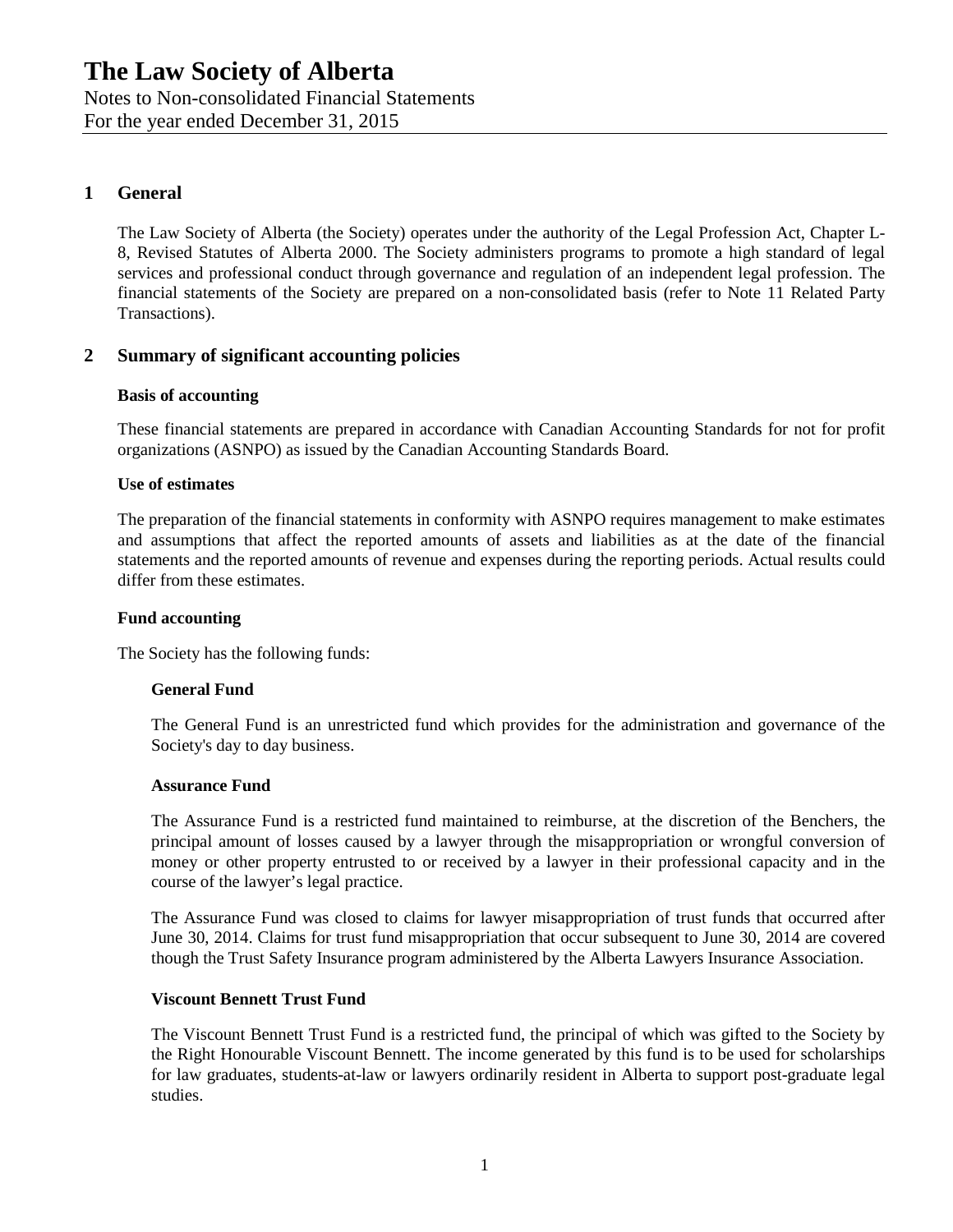Notes to Non-consolidated Financial Statements

For the year ended December 31, 2015

## **1 General**

The Law Society of Alberta (the Society) operates under the authority of the Legal Profession Act, Chapter L-8, Revised Statutes of Alberta 2000. The Society administers programs to promote a high standard of legal services and professional conduct through governance and regulation of an independent legal profession. The financial statements of the Society are prepared on a non-consolidated basis (refer to Note 11 Related Party Transactions).

## **2 Summary of significant accounting policies**

#### **Basis of accounting**

These financial statements are prepared in accordance with Canadian Accounting Standards for not for profit organizations (ASNPO) as issued by the Canadian Accounting Standards Board.

#### **Use of estimates**

The preparation of the financial statements in conformity with ASNPO requires management to make estimates and assumptions that affect the reported amounts of assets and liabilities as at the date of the financial statements and the reported amounts of revenue and expenses during the reporting periods. Actual results could differ from these estimates.

#### **Fund accounting**

The Society has the following funds:

#### **General Fund**

The General Fund is an unrestricted fund which provides for the administration and governance of the Society's day to day business.

#### **Assurance Fund**

The Assurance Fund is a restricted fund maintained to reimburse, at the discretion of the Benchers, the principal amount of losses caused by a lawyer through the misappropriation or wrongful conversion of money or other property entrusted to or received by a lawyer in their professional capacity and in the course of the lawyer's legal practice.

The Assurance Fund was closed to claims for lawyer misappropriation of trust funds that occurred after June 30, 2014. Claims for trust fund misappropriation that occur subsequent to June 30, 2014 are covered though the Trust Safety Insurance program administered by the Alberta Lawyers Insurance Association.

#### **Viscount Bennett Trust Fund**

The Viscount Bennett Trust Fund is a restricted fund, the principal of which was gifted to the Society by the Right Honourable Viscount Bennett. The income generated by this fund is to be used for scholarships for law graduates, students-at-law or lawyers ordinarily resident in Alberta to support post-graduate legal studies.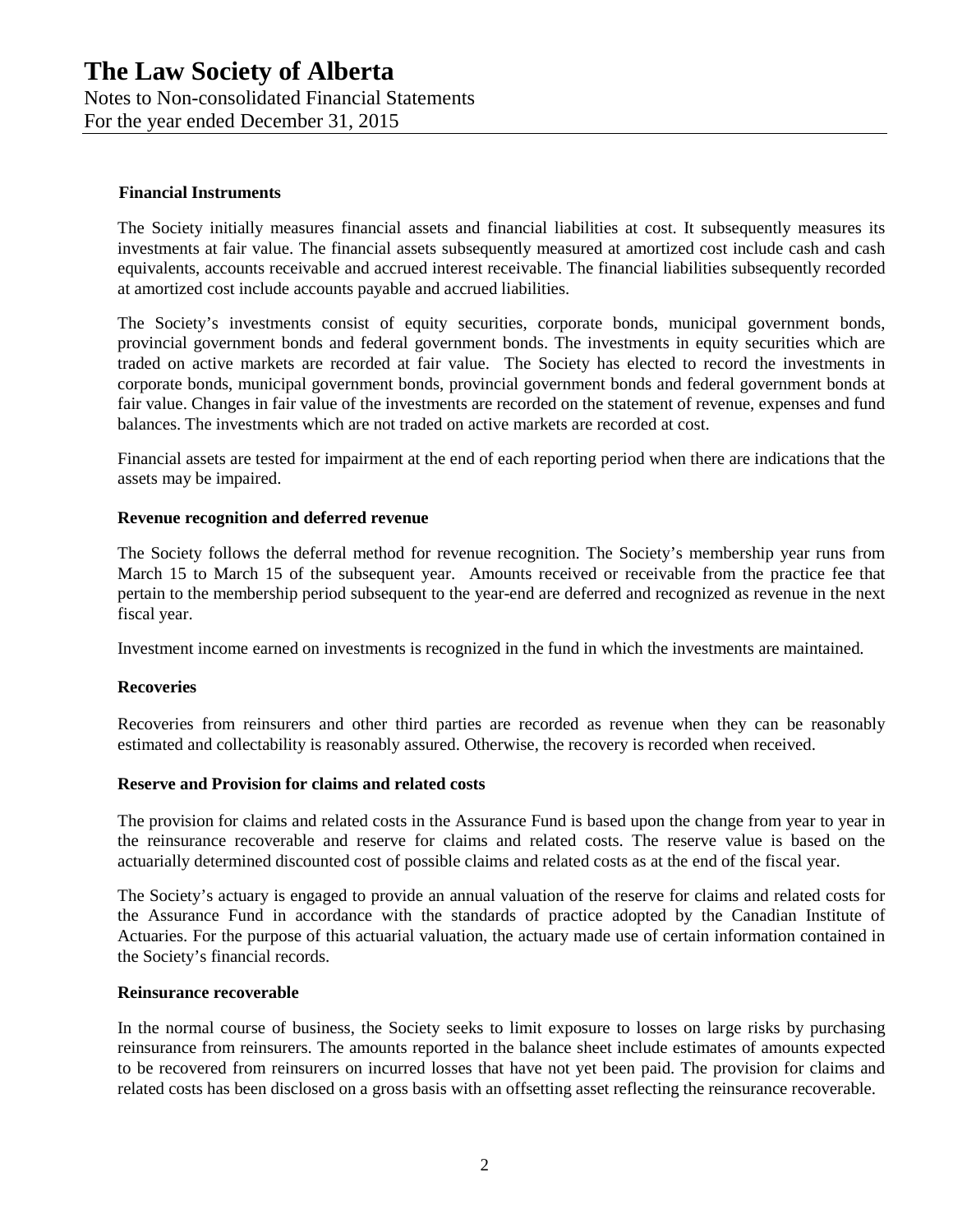For the year ended December 31, 2015

#### **Financial Instruments**

The Society initially measures financial assets and financial liabilities at cost. It subsequently measures its investments at fair value. The financial assets subsequently measured at amortized cost include cash and cash equivalents, accounts receivable and accrued interest receivable. The financial liabilities subsequently recorded at amortized cost include accounts payable and accrued liabilities.

The Society's investments consist of equity securities, corporate bonds, municipal government bonds, provincial government bonds and federal government bonds. The investments in equity securities which are traded on active markets are recorded at fair value. The Society has elected to record the investments in corporate bonds, municipal government bonds, provincial government bonds and federal government bonds at fair value. Changes in fair value of the investments are recorded on the statement of revenue, expenses and fund balances. The investments which are not traded on active markets are recorded at cost.

Financial assets are tested for impairment at the end of each reporting period when there are indications that the assets may be impaired.

#### **Revenue recognition and deferred revenue**

The Society follows the deferral method for revenue recognition. The Society's membership year runs from March 15 to March 15 of the subsequent year. Amounts received or receivable from the practice fee that pertain to the membership period subsequent to the year-end are deferred and recognized as revenue in the next fiscal year.

Investment income earned on investments is recognized in the fund in which the investments are maintained.

#### **Recoveries**

Recoveries from reinsurers and other third parties are recorded as revenue when they can be reasonably estimated and collectability is reasonably assured. Otherwise, the recovery is recorded when received.

#### **Reserve and Provision for claims and related costs**

The provision for claims and related costs in the Assurance Fund is based upon the change from year to year in the reinsurance recoverable and reserve for claims and related costs. The reserve value is based on the actuarially determined discounted cost of possible claims and related costs as at the end of the fiscal year.

The Society's actuary is engaged to provide an annual valuation of the reserve for claims and related costs for the Assurance Fund in accordance with the standards of practice adopted by the Canadian Institute of Actuaries. For the purpose of this actuarial valuation, the actuary made use of certain information contained in the Society's financial records.

#### **Reinsurance recoverable**

In the normal course of business, the Society seeks to limit exposure to losses on large risks by purchasing reinsurance from reinsurers. The amounts reported in the balance sheet include estimates of amounts expected to be recovered from reinsurers on incurred losses that have not yet been paid. The provision for claims and related costs has been disclosed on a gross basis with an offsetting asset reflecting the reinsurance recoverable.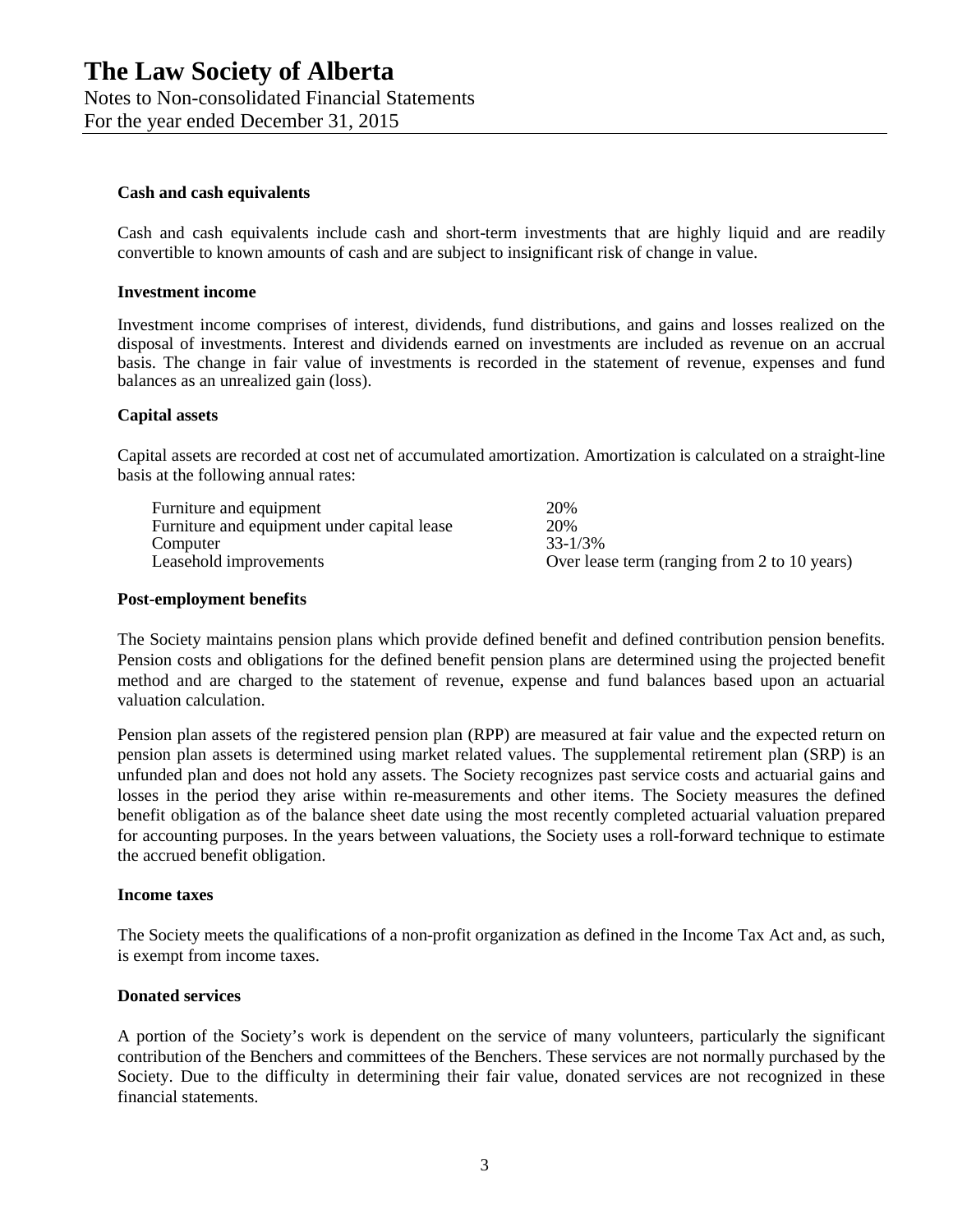For the year ended December 31, 2015

#### **Cash and cash equivalents**

Cash and cash equivalents include cash and short-term investments that are highly liquid and are readily convertible to known amounts of cash and are subject to insignificant risk of change in value.

#### **Investment income**

Investment income comprises of interest, dividends, fund distributions, and gains and losses realized on the disposal of investments. Interest and dividends earned on investments are included as revenue on an accrual basis. The change in fair value of investments is recorded in the statement of revenue, expenses and fund balances as an unrealized gain (loss).

#### **Capital assets**

Capital assets are recorded at cost net of accumulated amortization. Amortization is calculated on a straight-line basis at the following annual rates:

| Furniture and equipment                     | 20%                                          |
|---------------------------------------------|----------------------------------------------|
| Furniture and equipment under capital lease | 20%                                          |
| Computer                                    | $33 - 1/3\%$                                 |
| Leasehold improvements                      | Over lease term (ranging from 2 to 10 years) |

#### **Post-employment benefits**

The Society maintains pension plans which provide defined benefit and defined contribution pension benefits. Pension costs and obligations for the defined benefit pension plans are determined using the projected benefit method and are charged to the statement of revenue, expense and fund balances based upon an actuarial valuation calculation.

Pension plan assets of the registered pension plan (RPP) are measured at fair value and the expected return on pension plan assets is determined using market related values. The supplemental retirement plan (SRP) is an unfunded plan and does not hold any assets. The Society recognizes past service costs and actuarial gains and losses in the period they arise within re-measurements and other items. The Society measures the defined benefit obligation as of the balance sheet date using the most recently completed actuarial valuation prepared for accounting purposes. In the years between valuations, the Society uses a roll-forward technique to estimate the accrued benefit obligation.

#### **Income taxes**

The Society meets the qualifications of a non-profit organization as defined in the Income Tax Act and, as such, is exempt from income taxes.

#### **Donated services**

A portion of the Society's work is dependent on the service of many volunteers, particularly the significant contribution of the Benchers and committees of the Benchers. These services are not normally purchased by the Society. Due to the difficulty in determining their fair value, donated services are not recognized in these financial statements.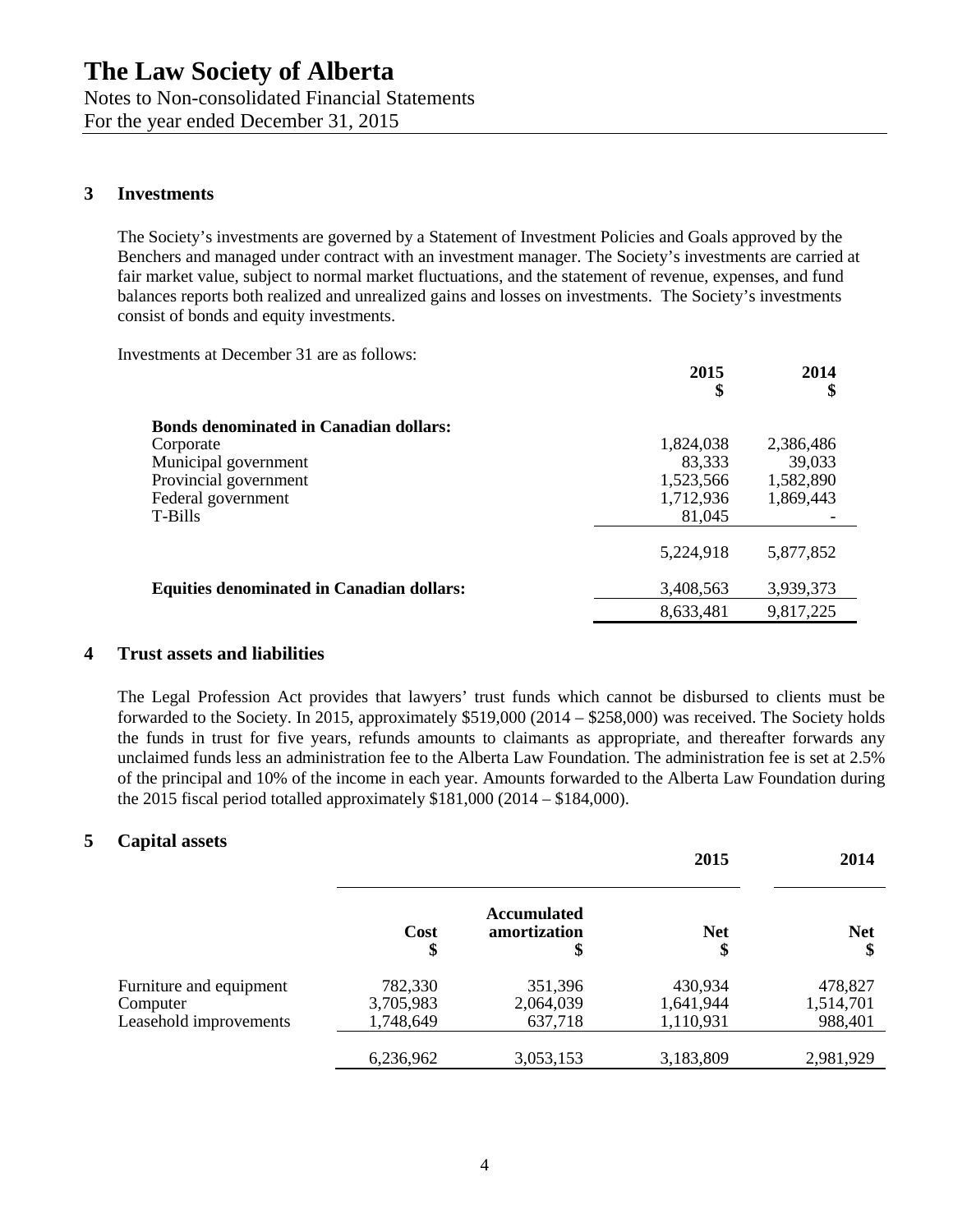Notes to Non-consolidated Financial Statements For the year ended December 31, 2015

## **3 Investments**

The Society's investments are governed by a Statement of Investment Policies and Goals approved by the Benchers and managed under contract with an investment manager. The Society's investments are carried at fair market value, subject to normal market fluctuations, and the statement of revenue, expenses, and fund balances reports both realized and unrealized gains and losses on investments. The Society's investments consist of bonds and equity investments.

Investments at December 31 are as follows:

|                                                  | 2013<br>\$ | 2014<br>\$ |
|--------------------------------------------------|------------|------------|
| <b>Bonds denominated in Canadian dollars:</b>    |            |            |
| Corporate                                        | 1,824,038  | 2,386,486  |
| Municipal government                             | 83,333     | 39,033     |
| Provincial government                            | 1,523,566  | 1,582,890  |
| Federal government                               | 1,712,936  | 1,869,443  |
| T-Bills                                          | 81,045     |            |
|                                                  | 5,224,918  | 5,877,852  |
| <b>Equities denominated in Canadian dollars:</b> | 3,408,563  | 3,939,373  |
|                                                  | 8,633,481  | 9,817,225  |
|                                                  |            |            |

**2015**

**2014**

## **4 Trust assets and liabilities**

The Legal Profession Act provides that lawyers' trust funds which cannot be disbursed to clients must be forwarded to the Society. In 2015, approximately \$519,000 (2014 – \$258,000) was received. The Society holds the funds in trust for five years, refunds amounts to claimants as appropriate, and thereafter forwards any unclaimed funds less an administration fee to the Alberta Law Foundation. The administration fee is set at 2.5% of the principal and 10% of the income in each year. Amounts forwarded to the Alberta Law Foundation during the 2015 fiscal period totalled approximately  $$181,000 (2014 - $184,000)$ .

### **5 Capital assets**

|                         |                   |                                          | 2015             | 2014             |
|-------------------------|-------------------|------------------------------------------|------------------|------------------|
|                         | <b>Cost</b><br>\$ | <b>Accumulated</b><br>amortization<br>\$ | <b>Net</b><br>\$ | <b>Net</b><br>\$ |
| Furniture and equipment | 782,330           | 351,396                                  | 430,934          | 478,827          |
| Computer                | 3,705,983         | 2,064,039                                | 1,641,944        | 1,514,701        |
| Leasehold improvements  | 1,748,649         | 637,718                                  | 1,110,931        | 988,401          |
|                         | 6,236,962         | 3,053,153                                | 3,183,809        | 2,981,929        |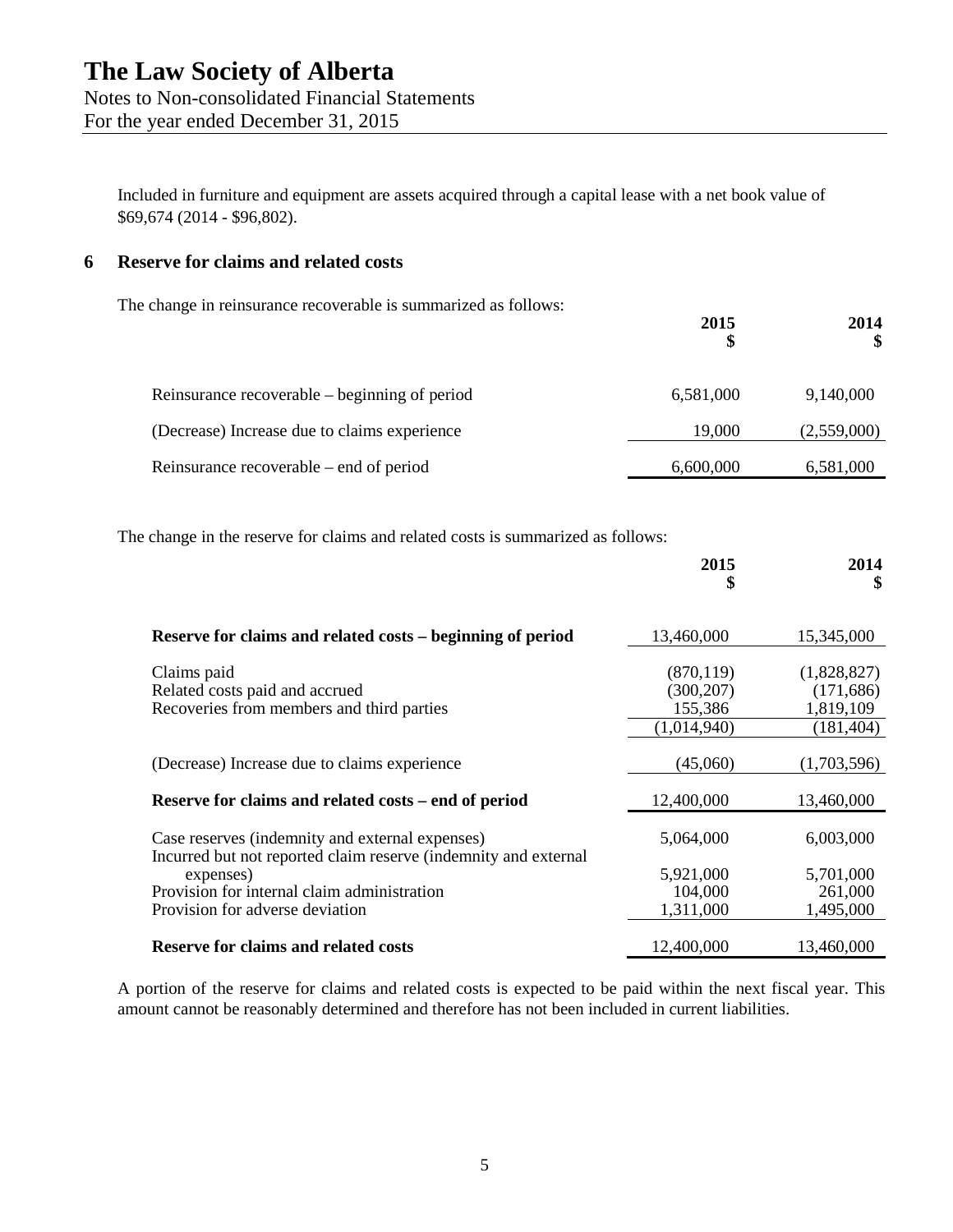For the year ended December 31, 2015

Included in furniture and equipment are assets acquired through a capital lease with a net book value of \$69,674 (2014 - \$96,802).

## **6 Reserve for claims and related costs**

The change in reinsurance recoverable is summarized as follows:

| Reinsurance recoverable – beginning of period | 6,581,000 | 9,140,000   |
|-----------------------------------------------|-----------|-------------|
| (Decrease) Increase due to claims experience  | 19,000    | (2,559,000) |
| Reinsurance recoverable – end of period       | 6,600,000 | 6,581,000   |

**2015**

**2014**

The change in the reserve for claims and related costs is summarized as follows:

|                                                                                                                                                                                | 2015<br>\$                                         | 2014<br>\$                                           |
|--------------------------------------------------------------------------------------------------------------------------------------------------------------------------------|----------------------------------------------------|------------------------------------------------------|
| Reserve for claims and related costs – beginning of period                                                                                                                     | 13,460,000                                         | 15,345,000                                           |
| Claims paid<br>Related costs paid and accrued<br>Recoveries from members and third parties                                                                                     | (870, 119)<br>(300, 207)<br>155,386<br>(1,014,940) | (1,828,827)<br>(171, 686)<br>1,819,109<br>(181, 404) |
| (Decrease) Increase due to claims experience                                                                                                                                   | (45,060)                                           | (1,703,596)                                          |
| Reserve for claims and related costs – end of period                                                                                                                           | 12,400,000                                         | 13,460,000                                           |
| Case reserves (indemnity and external expenses)<br>Incurred but not reported claim reserve (indemnity and external<br>expenses)<br>Provision for internal claim administration | 5,064,000<br>5,921,000<br>104,000                  | 6,003,000<br>5,701,000<br>261,000                    |
| Provision for adverse deviation<br><b>Reserve for claims and related costs</b>                                                                                                 | 1,311,000<br>12,400,000                            | 1,495,000<br>13,460,000                              |

A portion of the reserve for claims and related costs is expected to be paid within the next fiscal year. This amount cannot be reasonably determined and therefore has not been included in current liabilities.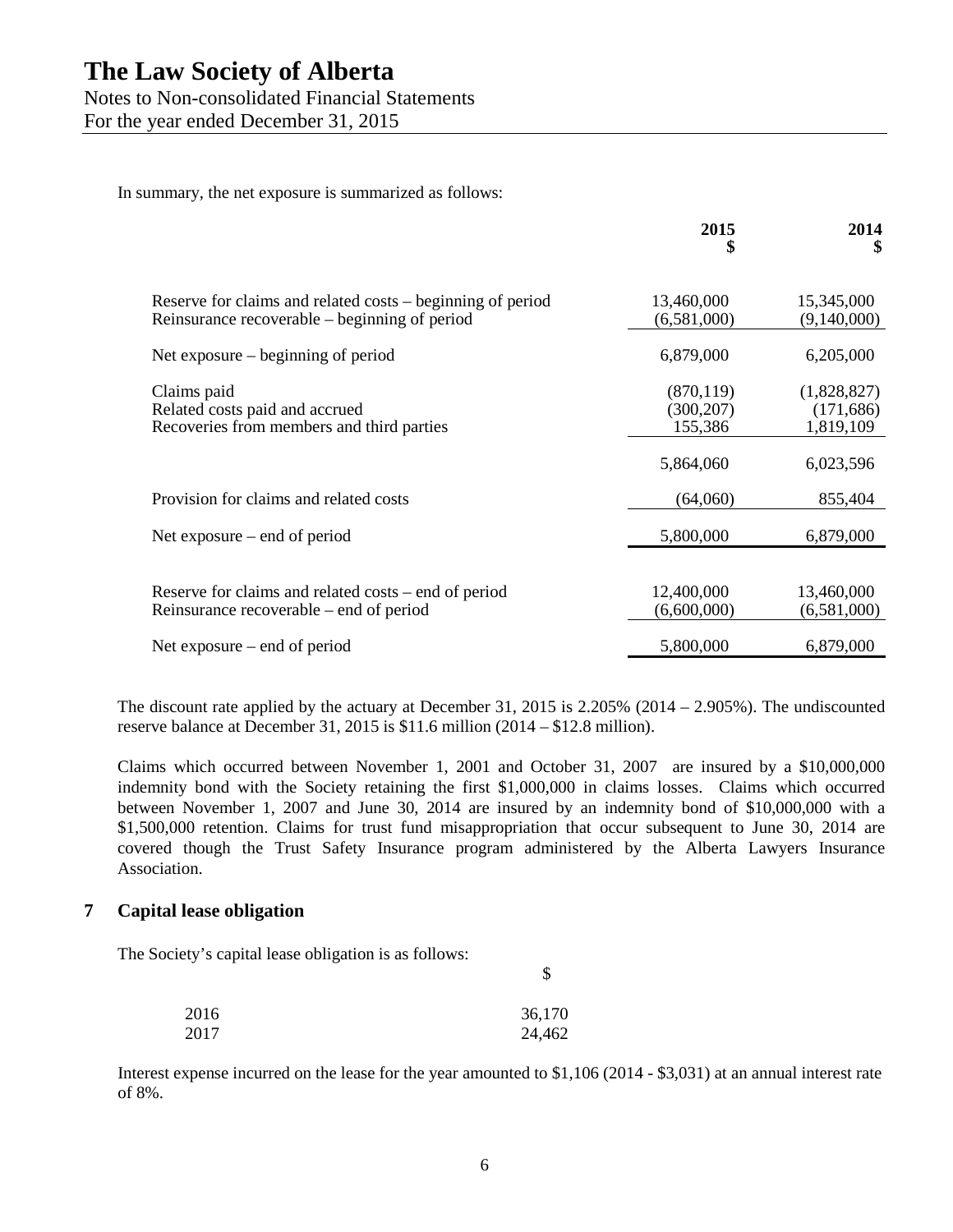For the year ended December 31, 2015

In summary, the net exposure is summarized as follows:

|                                                                                                             | 2015<br>\$                          | 2014<br>S                              |
|-------------------------------------------------------------------------------------------------------------|-------------------------------------|----------------------------------------|
| Reserve for claims and related costs – beginning of period<br>Reinsurance recoverable – beginning of period | 13,460,000<br>(6,581,000)           | 15,345,000<br>(9,140,000)              |
| Net exposure – beginning of period                                                                          | 6,879,000                           | 6,205,000                              |
| Claims paid<br>Related costs paid and accrued<br>Recoveries from members and third parties                  | (870, 119)<br>(300, 207)<br>155,386 | (1,828,827)<br>(171, 686)<br>1,819,109 |
|                                                                                                             | 5,864,060                           | 6,023,596                              |
| Provision for claims and related costs                                                                      | (64,060)                            | 855,404                                |
| Net exposure $-$ end of period                                                                              | 5,800,000                           | 6,879,000                              |
| Reserve for claims and related costs – end of period<br>Reinsurance recoverable – end of period             | 12,400,000<br>(6,600,000)           | 13,460,000<br>(6,581,000)              |
| Net exposure $-$ end of period                                                                              | 5,800,000                           | 6,879,000                              |

The discount rate applied by the actuary at December 31, 2015 is  $2.205\%$  (2014 – 2.905%). The undiscounted reserve balance at December 31, 2015 is \$11.6 million (2014 – \$12.8 million).

Claims which occurred between November 1, 2001 and October 31, 2007 are insured by a \$10,000,000 indemnity bond with the Society retaining the first \$1,000,000 in claims losses. Claims which occurred between November 1, 2007 and June 30, 2014 are insured by an indemnity bond of \$10,000,000 with a \$1,500,000 retention. Claims for trust fund misappropriation that occur subsequent to June 30, 2014 are covered though the Trust Safety Insurance program administered by the Alberta Lawyers Insurance Association.

## **7 Capital lease obligation**

The Society's capital lease obligation is as follows:

| 2016 | 36,170 |
|------|--------|
| 2017 | 24,462 |

Interest expense incurred on the lease for the year amounted to \$1,106 (2014 - \$3,031) at an annual interest rate of 8%.

\$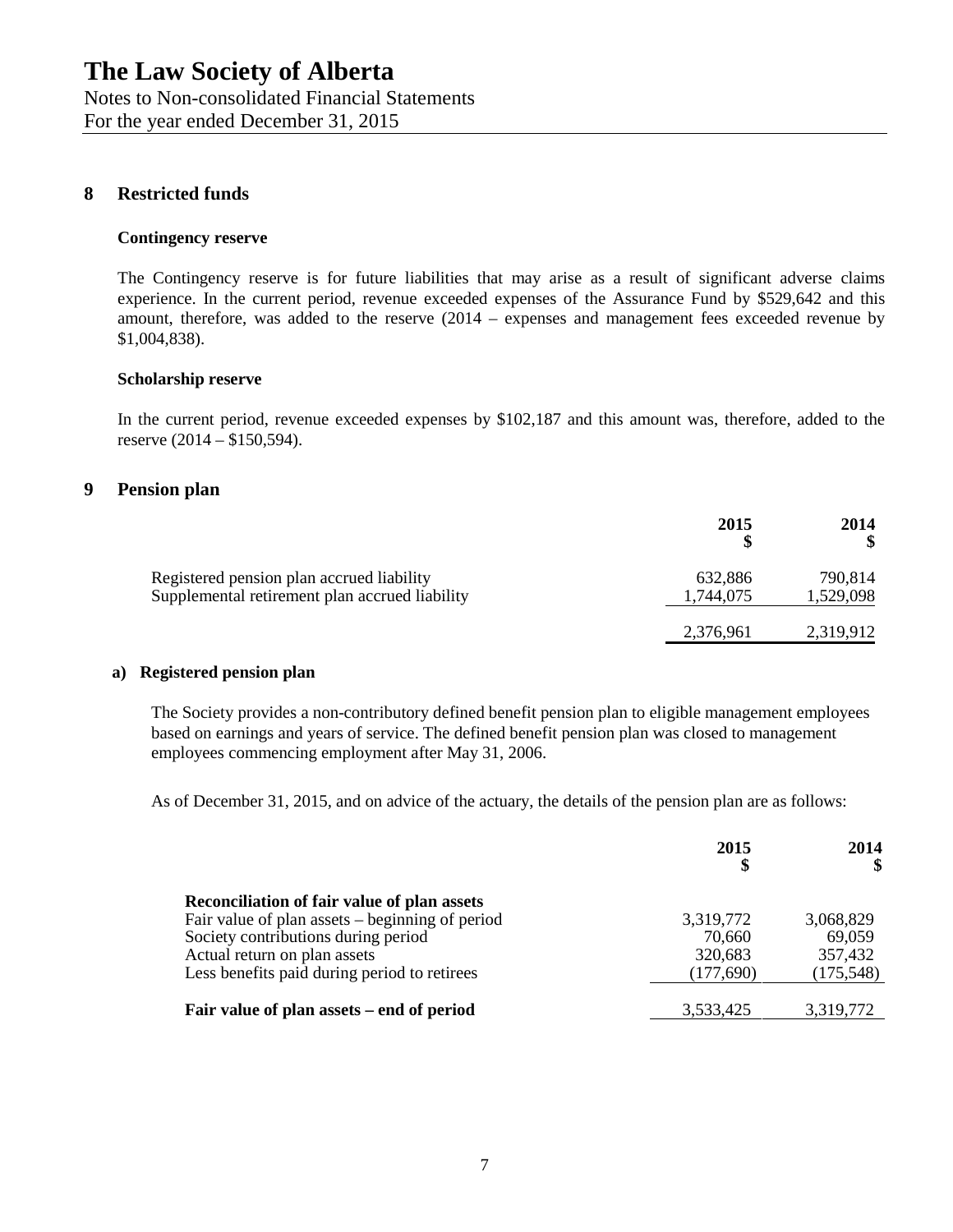Notes to Non-consolidated Financial Statements For the year ended December 31, 2015

### **8 Restricted funds**

#### **Contingency reserve**

The Contingency reserve is for future liabilities that may arise as a result of significant adverse claims experience. In the current period, revenue exceeded expenses of the Assurance Fund by \$529,642 and this amount, therefore, was added to the reserve (2014 – expenses and management fees exceeded revenue by \$1,004,838).

#### **Scholarship reserve**

In the current period, revenue exceeded expenses by \$102,187 and this amount was, therefore, added to the reserve (2014 – \$150,594).

### **9 Pension plan**

|                                                | 2015      | 2014      |
|------------------------------------------------|-----------|-----------|
| Registered pension plan accrued liability      | 632,886   | 790,814   |
| Supplemental retirement plan accrued liability | 1,744,075 | 1,529,098 |
|                                                | 2,376,961 | 2,319,912 |

#### **a) Registered pension plan**

The Society provides a non-contributory defined benefit pension plan to eligible management employees based on earnings and years of service. The defined benefit pension plan was closed to management employees commencing employment after May 31, 2006.

As of December 31, 2015, and on advice of the actuary, the details of the pension plan are as follows:

|                                                 | 2015<br>\$ | 2014      |
|-------------------------------------------------|------------|-----------|
| Reconciliation of fair value of plan assets     |            |           |
| Fair value of plan assets – beginning of period | 3,319,772  | 3,068,829 |
| Society contributions during period             | 70,660     | 69,059    |
| Actual return on plan assets                    | 320,683    | 357,432   |
| Less benefits paid during period to retirees    | (177,690)  | (175,548) |
| Fair value of plan assets – end of period       | 3,533,425  | 3,319,772 |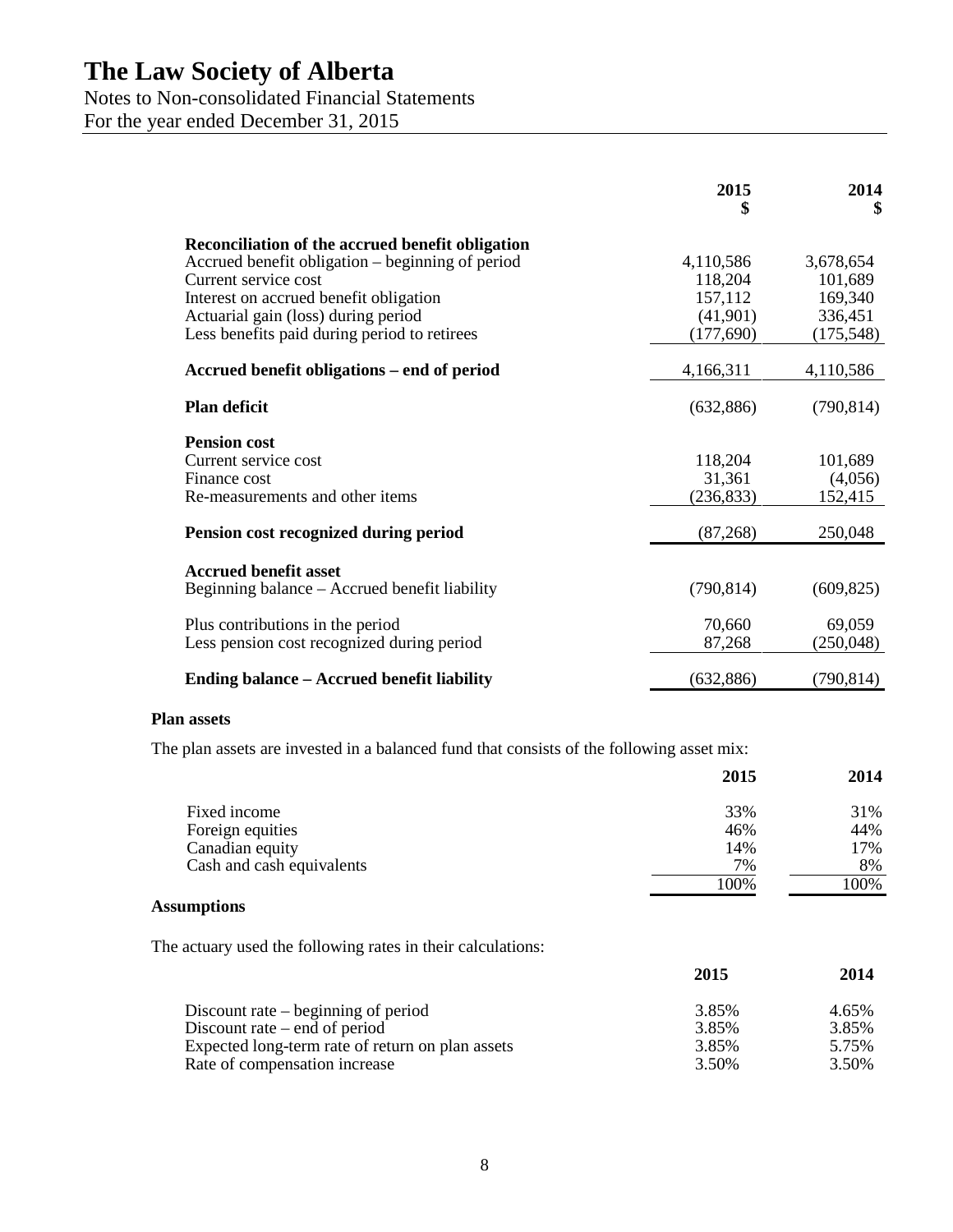## Notes to Non-consolidated Financial Statements

For the year ended December 31, 2015

|                                                  | 2015<br>\$ | 2014<br>\$ |
|--------------------------------------------------|------------|------------|
| Reconciliation of the accrued benefit obligation |            |            |
| Accrued benefit obligation – beginning of period | 4,110,586  | 3,678,654  |
| Current service cost                             | 118,204    | 101,689    |
| Interest on accrued benefit obligation           | 157,112    | 169,340    |
| Actuarial gain (loss) during period              | (41,901)   | 336,451    |
| Less benefits paid during period to retirees     | (177, 690) | (175, 548) |
| Accrued benefit obligations – end of period      | 4,166,311  | 4,110,586  |
| <b>Plan deficit</b>                              | (632, 886) | (790, 814) |
| <b>Pension cost</b>                              |            |            |
| Current service cost                             | 118,204    | 101,689    |
| Finance cost                                     | 31,361     | (4,056)    |
| Re-measurements and other items                  | (236, 833) | 152,415    |
| Pension cost recognized during period            | (87, 268)  | 250,048    |
| <b>Accrued benefit asset</b>                     |            |            |
| Beginning balance – Accrued benefit liability    | (790, 814) | (609, 825) |
| Plus contributions in the period                 | 70,660     | 69,059     |
| Less pension cost recognized during period       | 87,268     | (250,048)  |
| Ending balance – Accrued benefit liability       | (632, 886) | (790, 814) |

### **Plan assets**

The plan assets are invested in a balanced fund that consists of the following asset mix:

|                           | 2015 | 2014 |
|---------------------------|------|------|
| Fixed income              | 33%  | 31%  |
| Foreign equities          | 46%  | 44%  |
| Canadian equity           | 14%  | 17%  |
| Cash and cash equivalents | 7%   | 8%   |
|                           | 100% | 100% |

## **Assumptions**

The actuary used the following rates in their calculations:

|                                                  | 2015  | 2014  |
|--------------------------------------------------|-------|-------|
| Discount rate $-$ beginning of period            | 3.85% | 4.65% |
| Discount rate $-$ end of period                  | 3.85% | 3.85% |
| Expected long-term rate of return on plan assets | 3.85% | 5.75% |
| Rate of compensation increase                    | 3.50% | 3.50% |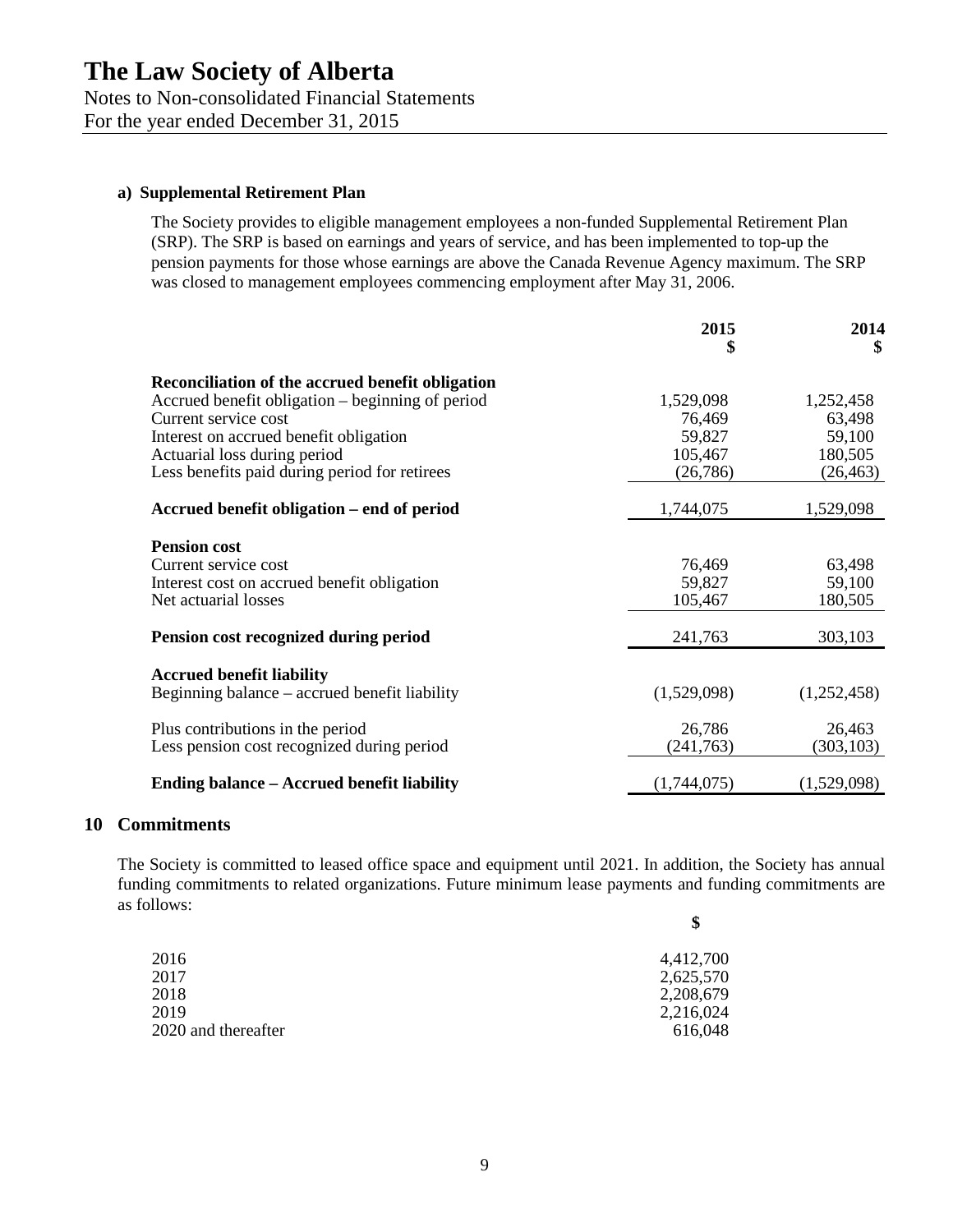For the year ended December 31, 2015

### **a) Supplemental Retirement Plan**

The Society provides to eligible management employees a non-funded Supplemental Retirement Plan (SRP). The SRP is based on earnings and years of service, and has been implemented to top-up the pension payments for those whose earnings are above the Canada Revenue Agency maximum. The SRP was closed to management employees commencing employment after May 31, 2006.

|                                                                                   | 2015<br>\$  | 2014<br>\$  |  |
|-----------------------------------------------------------------------------------|-------------|-------------|--|
| Reconciliation of the accrued benefit obligation                                  |             |             |  |
| Accrued benefit obligation – beginning of period                                  | 1,529,098   | 1,252,458   |  |
| Current service cost                                                              | 76,469      | 63,498      |  |
| Interest on accrued benefit obligation                                            | 59,827      | 59,100      |  |
| Actuarial loss during period                                                      | 105,467     | 180,505     |  |
| Less benefits paid during period for retirees                                     | (26, 786)   | (26, 463)   |  |
| Accrued benefit obligation – end of period                                        | 1,744,075   | 1,529,098   |  |
| <b>Pension cost</b>                                                               |             |             |  |
| Current service cost                                                              | 76,469      | 63,498      |  |
| Interest cost on accrued benefit obligation                                       | 59,827      | 59,100      |  |
| Net actuarial losses                                                              | 105,467     | 180,505     |  |
| Pension cost recognized during period                                             | 241,763     | 303,103     |  |
|                                                                                   |             |             |  |
| <b>Accrued benefit liability</b><br>Beginning balance – accrued benefit liability | (1,529,098) | (1,252,458) |  |
| Plus contributions in the period                                                  | 26,786      | 26,463      |  |
| Less pension cost recognized during period                                        | (241,763)   | (303, 103)  |  |
|                                                                                   |             |             |  |
| <b>Ending balance - Accrued benefit liability</b>                                 | (1,744,075) | (1,529,098) |  |

### **10 Commitments**

The Society is committed to leased office space and equipment until 2021. In addition, the Society has annual funding commitments to related organizations. Future minimum lease payments and funding commitments are as follows: **\$**

|                     | Ф         |
|---------------------|-----------|
| 2016                | 4,412,700 |
| 2017                | 2,625,570 |
| 2018                | 2,208,679 |
| 2019                | 2,216,024 |
| 2020 and thereafter | 616,048   |
|                     |           |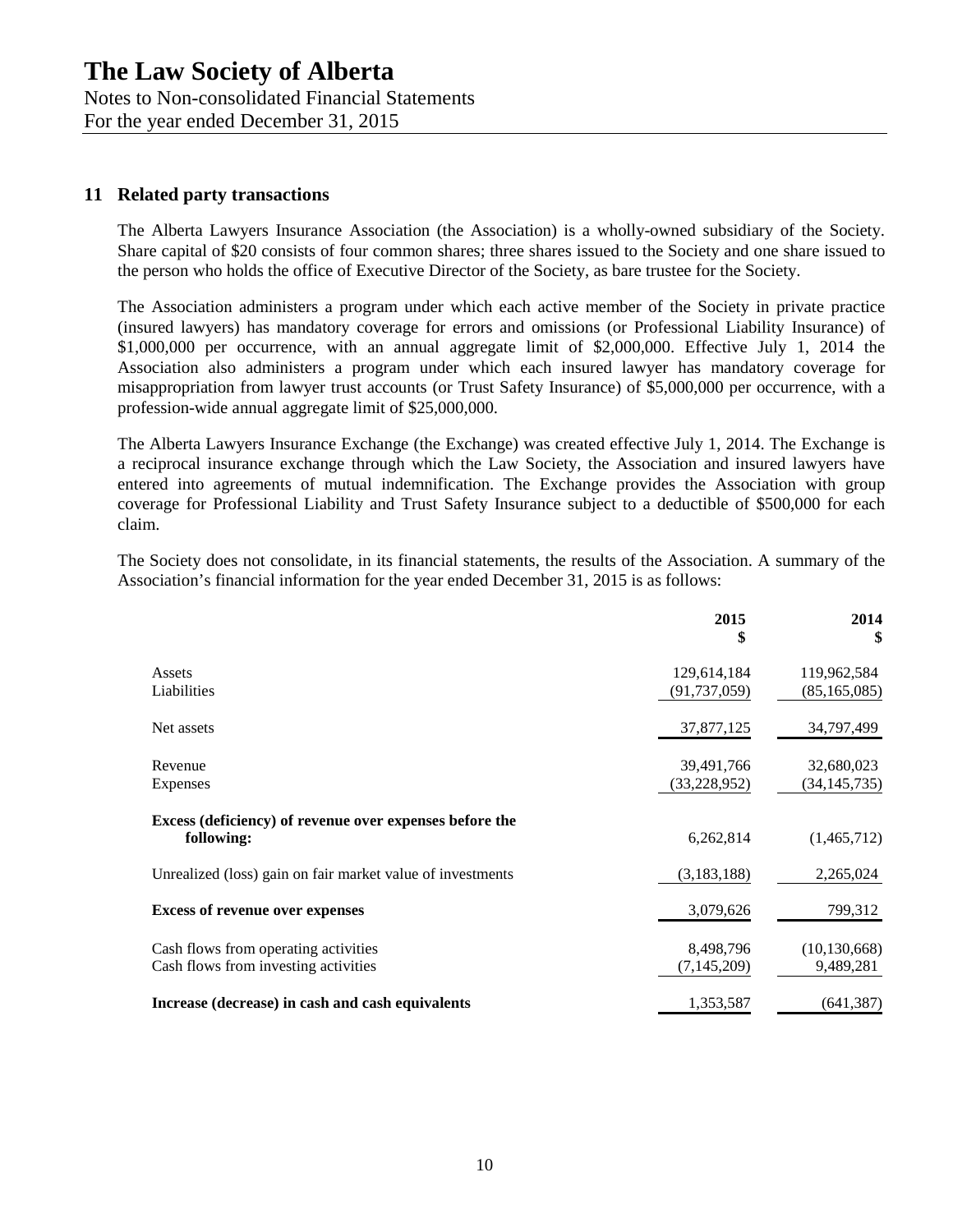Notes to Non-consolidated Financial Statements

For the year ended December 31, 2015

### **11 Related party transactions**

The Alberta Lawyers Insurance Association (the Association) is a wholly-owned subsidiary of the Society. Share capital of \$20 consists of four common shares; three shares issued to the Society and one share issued to the person who holds the office of Executive Director of the Society, as bare trustee for the Society.

The Association administers a program under which each active member of the Society in private practice (insured lawyers) has mandatory coverage for errors and omissions (or Professional Liability Insurance) of \$1,000,000 per occurrence, with an annual aggregate limit of \$2,000,000. Effective July 1, 2014 the Association also administers a program under which each insured lawyer has mandatory coverage for misappropriation from lawyer trust accounts (or Trust Safety Insurance) of \$5,000,000 per occurrence, with a profession-wide annual aggregate limit of \$25,000,000.

The Alberta Lawyers Insurance Exchange (the Exchange) was created effective July 1, 2014. The Exchange is a reciprocal insurance exchange through which the Law Society, the Association and insured lawyers have entered into agreements of mutual indemnification. The Exchange provides the Association with group coverage for Professional Liability and Trust Safety Insurance subject to a deductible of \$500,000 for each claim.

The Society does not consolidate, in its financial statements, the results of the Association. A summary of the Association's financial information for the year ended December 31, 2015 is as follows:

|                                                                              | 2015<br>\$                    | 2014<br>\$                    |
|------------------------------------------------------------------------------|-------------------------------|-------------------------------|
| Assets<br>Liabilities                                                        | 129,614,184<br>(91, 737, 059) | 119,962,584<br>(85, 165, 085) |
| Net assets                                                                   | 37,877,125                    | 34,797,499                    |
| Revenue<br>Expenses                                                          | 39,491,766<br>(33,228,952)    | 32,680,023<br>(34, 145, 735)  |
| Excess (deficiency) of revenue over expenses before the<br>following:        | 6,262,814                     | (1,465,712)                   |
| Unrealized (loss) gain on fair market value of investments                   | (3, 183, 188)                 | 2,265,024                     |
| <b>Excess of revenue over expenses</b>                                       | 3,079,626                     | 799,312                       |
| Cash flows from operating activities<br>Cash flows from investing activities | 8,498,796<br>(7, 145, 209)    | (10, 130, 668)<br>9,489,281   |
| Increase (decrease) in cash and cash equivalents                             | 1,353,587                     | (641, 387)                    |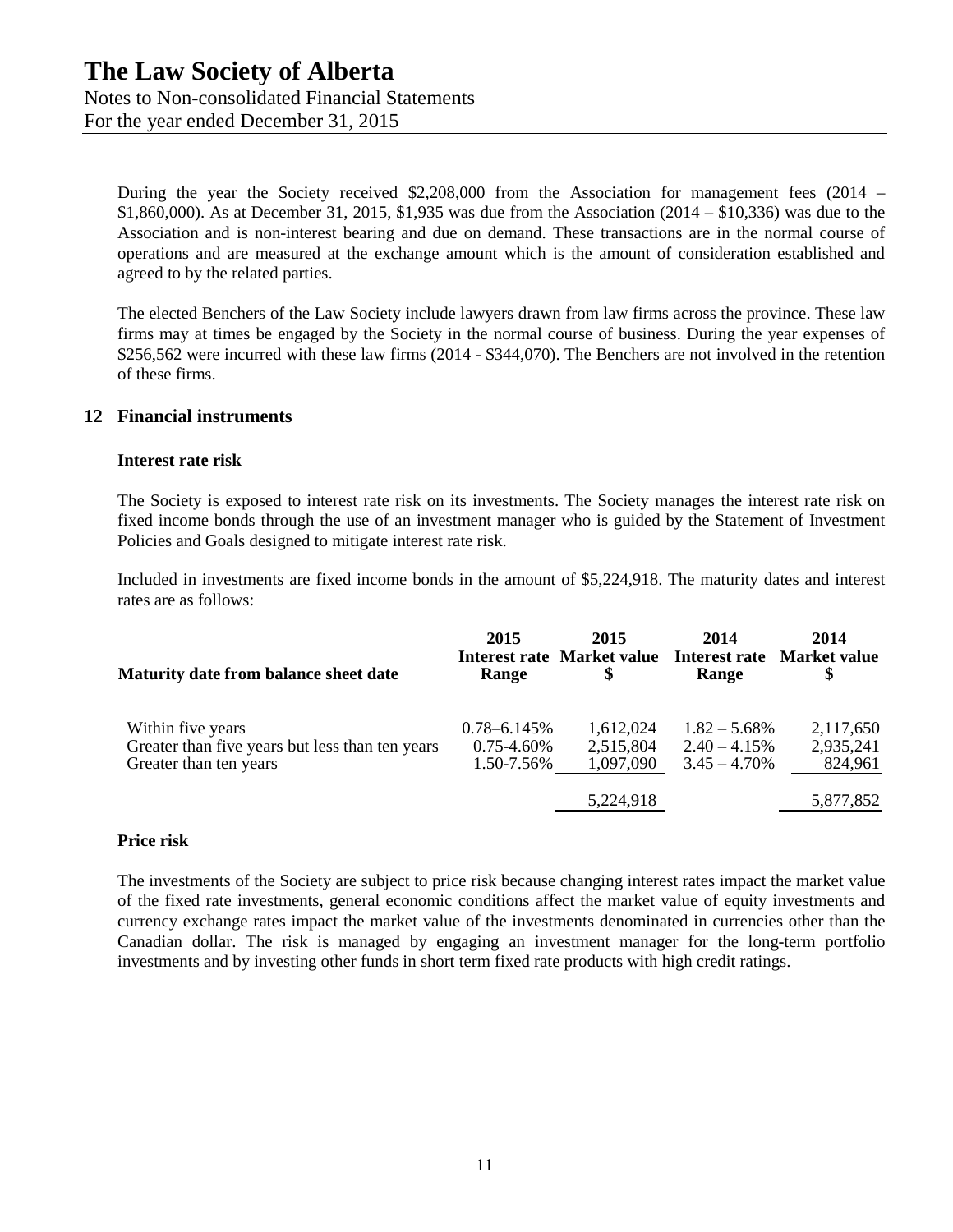For the year ended December 31, 2015

During the year the Society received \$2,208,000 from the Association for management fees (2014 – \$1,860,000). As at December 31, 2015, \$1,935 was due from the Association (2014 – \$10,336) was due to the Association and is non-interest bearing and due on demand. These transactions are in the normal course of operations and are measured at the exchange amount which is the amount of consideration established and agreed to by the related parties.

The elected Benchers of the Law Society include lawyers drawn from law firms across the province. These law firms may at times be engaged by the Society in the normal course of business. During the year expenses of \$256,562 were incurred with these law firms (2014 - \$344,070). The Benchers are not involved in the retention of these firms.

### **12 Financial instruments**

#### **Interest rate risk**

The Society is exposed to interest rate risk on its investments. The Society manages the interest rate risk on fixed income bonds through the use of an investment manager who is guided by the Statement of Investment Policies and Goals designed to mitigate interest rate risk.

Included in investments are fixed income bonds in the amount of \$5,224,918. The maturity dates and interest rates are as follows:

| Maturity date from balance sheet date                                                          | 2015<br>Range                                     | 2015<br>Interest rate Market value<br>S | 2014<br>Range                                         | 2014<br>Interest rate Market value<br>\$ |
|------------------------------------------------------------------------------------------------|---------------------------------------------------|-----------------------------------------|-------------------------------------------------------|------------------------------------------|
| Within five years<br>Greater than five years but less than ten years<br>Greater than ten years | $0.78 - 6.145\%$<br>$0.75 - 4.60\%$<br>1.50-7.56% | 1,612,024<br>2,515,804<br>1,097,090     | $1.82 - 5.68\%$<br>$2.40 - 4.15\%$<br>$3.45 - 4.70\%$ | 2,117,650<br>2,935,241<br>824,961        |
|                                                                                                |                                                   | 5,224,918                               |                                                       | 5,877,852                                |

#### **Price risk**

The investments of the Society are subject to price risk because changing interest rates impact the market value of the fixed rate investments, general economic conditions affect the market value of equity investments and currency exchange rates impact the market value of the investments denominated in currencies other than the Canadian dollar. The risk is managed by engaging an investment manager for the long-term portfolio investments and by investing other funds in short term fixed rate products with high credit ratings.